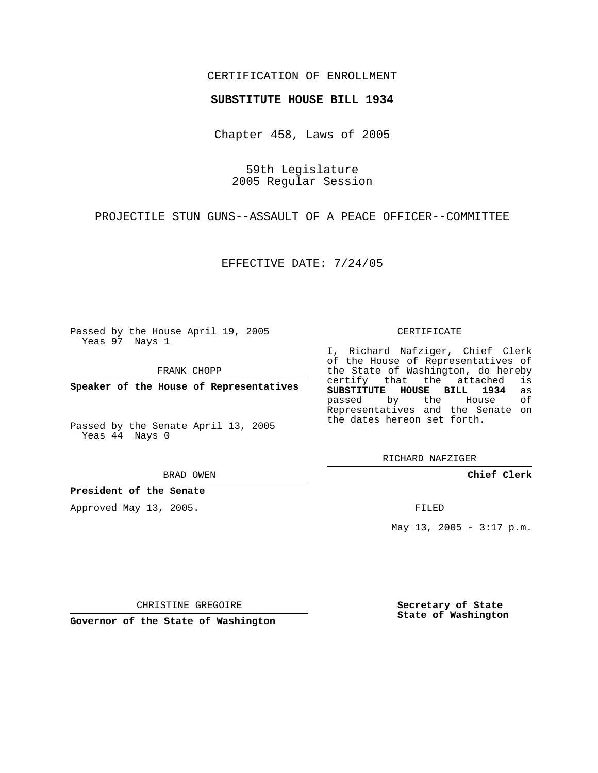## CERTIFICATION OF ENROLLMENT

### **SUBSTITUTE HOUSE BILL 1934**

Chapter 458, Laws of 2005

59th Legislature 2005 Regular Session

PROJECTILE STUN GUNS--ASSAULT OF A PEACE OFFICER--COMMITTEE

EFFECTIVE DATE: 7/24/05

Passed by the House April 19, 2005 Yeas 97 Nays 1

FRANK CHOPP

**Speaker of the House of Representatives**

Passed by the Senate April 13, 2005 Yeas 44 Nays 0

BRAD OWEN

**President of the Senate**

Approved May 13, 2005.

CERTIFICATE

I, Richard Nafziger, Chief Clerk of the House of Representatives of the State of Washington, do hereby<br>certify that the attached is certify that the attached **SUBSTITUTE HOUSE BILL 1934** as passed by the House of Representatives and the Senate on the dates hereon set forth.

RICHARD NAFZIGER

**Chief Clerk**

FILED

May 13, 2005 -  $3:17$  p.m.

CHRISTINE GREGOIRE

**Governor of the State of Washington**

**Secretary of State State of Washington**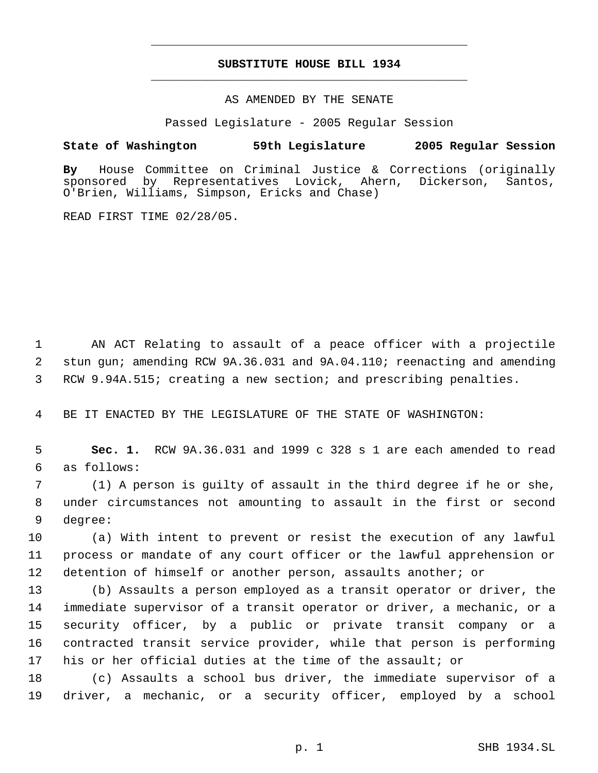# **SUBSTITUTE HOUSE BILL 1934** \_\_\_\_\_\_\_\_\_\_\_\_\_\_\_\_\_\_\_\_\_\_\_\_\_\_\_\_\_\_\_\_\_\_\_\_\_\_\_\_\_\_\_\_\_

\_\_\_\_\_\_\_\_\_\_\_\_\_\_\_\_\_\_\_\_\_\_\_\_\_\_\_\_\_\_\_\_\_\_\_\_\_\_\_\_\_\_\_\_\_

### AS AMENDED BY THE SENATE

Passed Legislature - 2005 Regular Session

### **State of Washington 59th Legislature 2005 Regular Session**

**By** House Committee on Criminal Justice & Corrections (originally sponsored by Representatives Lovick, Ahern, Dickerson, Santos, O'Brien, Williams, Simpson, Ericks and Chase)

READ FIRST TIME 02/28/05.

 AN ACT Relating to assault of a peace officer with a projectile stun gun; amending RCW 9A.36.031 and 9A.04.110; reenacting and amending RCW 9.94A.515; creating a new section; and prescribing penalties.

BE IT ENACTED BY THE LEGISLATURE OF THE STATE OF WASHINGTON:

 **Sec. 1.** RCW 9A.36.031 and 1999 c 328 s 1 are each amended to read as follows:

 (1) A person is guilty of assault in the third degree if he or she, under circumstances not amounting to assault in the first or second degree:

 (a) With intent to prevent or resist the execution of any lawful process or mandate of any court officer or the lawful apprehension or detention of himself or another person, assaults another; or

 (b) Assaults a person employed as a transit operator or driver, the immediate supervisor of a transit operator or driver, a mechanic, or a security officer, by a public or private transit company or a contracted transit service provider, while that person is performing his or her official duties at the time of the assault; or

 (c) Assaults a school bus driver, the immediate supervisor of a driver, a mechanic, or a security officer, employed by a school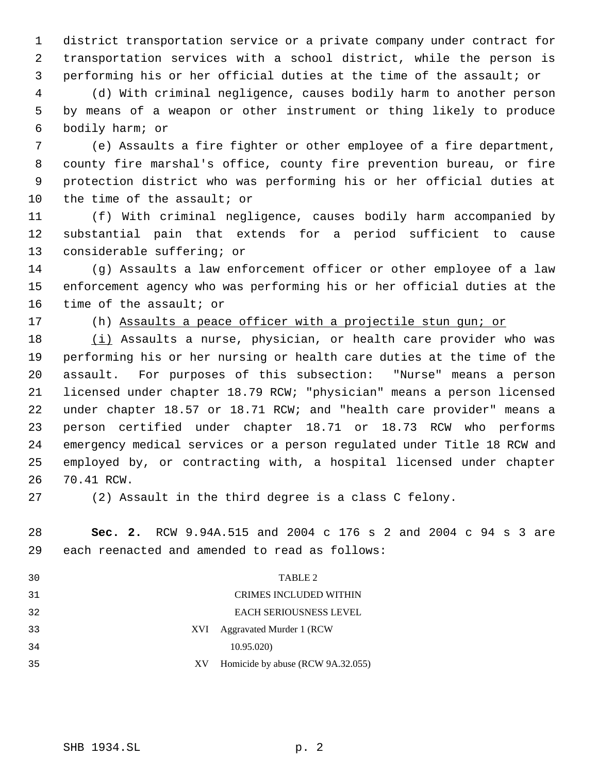district transportation service or a private company under contract for transportation services with a school district, while the person is performing his or her official duties at the time of the assault; or

 (d) With criminal negligence, causes bodily harm to another person by means of a weapon or other instrument or thing likely to produce bodily harm; or

 (e) Assaults a fire fighter or other employee of a fire department, county fire marshal's office, county fire prevention bureau, or fire protection district who was performing his or her official duties at the time of the assault; or

 (f) With criminal negligence, causes bodily harm accompanied by substantial pain that extends for a period sufficient to cause considerable suffering; or

 (g) Assaults a law enforcement officer or other employee of a law enforcement agency who was performing his or her official duties at the time of the assault; or

17 (h) Assaults a peace officer with a projectile stun gun; or

18 (i) Assaults a nurse, physician, or health care provider who was performing his or her nursing or health care duties at the time of the assault. For purposes of this subsection: "Nurse" means a person licensed under chapter 18.79 RCW; "physician" means a person licensed under chapter 18.57 or 18.71 RCW; and "health care provider" means a person certified under chapter 18.71 or 18.73 RCW who performs emergency medical services or a person regulated under Title 18 RCW and employed by, or contracting with, a hospital licensed under chapter 70.41 RCW.

(2) Assault in the third degree is a class C felony.

 **Sec. 2.** RCW 9.94A.515 and 2004 c 176 s 2 and 2004 c 94 s 3 are each reenacted and amended to read as follows:

| 30  |    | TABLE 2                           |  |
|-----|----|-----------------------------------|--|
| 31  |    | <b>CRIMES INCLUDED WITHIN</b>     |  |
| 32  |    | <b>EACH SERIOUSNESS LEVEL</b>     |  |
| 33  |    | XVI Aggravated Murder 1 (RCW      |  |
| 34  |    | 10.95.020)                        |  |
| -35 | XV | Homicide by abuse (RCW 9A.32.055) |  |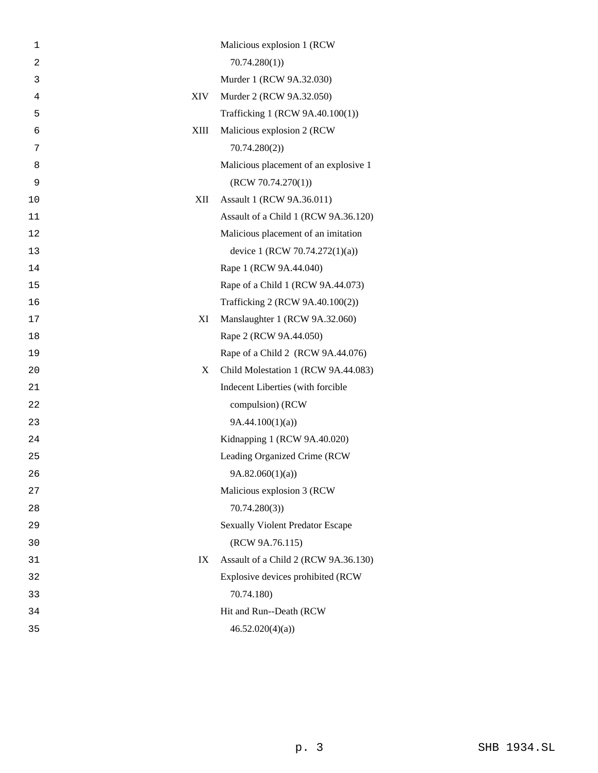| 1              | Malicious explosion 1 (RCW                 |
|----------------|--------------------------------------------|
| $\overline{a}$ | 70.74.280(1)                               |
| 3              | Murder 1 (RCW 9A.32.030)                   |
| $\overline{4}$ | XIV<br>Murder 2 (RCW 9A.32.050)            |
| 5              | Trafficking 1 (RCW 9A.40.100(1))           |
| 6              | XIII<br>Malicious explosion 2 (RCW)        |
| 7              | 70.74.280(2)                               |
| 8              | Malicious placement of an explosive 1      |
| 9              | (RCW 70.74.270(1))                         |
| 10             | Assault 1 (RCW 9A.36.011)<br>XII           |
| 11             | Assault of a Child 1 (RCW 9A.36.120)       |
| 12             | Malicious placement of an imitation        |
| 13             | device 1 (RCW 70.74.272(1)(a))             |
| 14             | Rape 1 (RCW 9A.44.040)                     |
| 15             | Rape of a Child 1 (RCW 9A.44.073)          |
| 16             | Trafficking 2 (RCW 9A.40.100(2))           |
| 17             | XI<br>Manslaughter 1 (RCW 9A.32.060)       |
| 18             | Rape 2 (RCW 9A.44.050)                     |
| 19             | Rape of a Child 2 (RCW 9A.44.076)          |
| 20             | Child Molestation 1 (RCW 9A.44.083)<br>X   |
| 21             | Indecent Liberties (with forcible          |
| 22             | compulsion) (RCW                           |
| 23             | 9A.44.100(1)(a)                            |
| 24             | Kidnapping 1 (RCW 9A.40.020)               |
| 25             | Leading Organized Crime (RCW               |
| 26             | 9A.82.060(1)(a)                            |
| 27             | Malicious explosion 3 (RCW                 |
| 28             | 70.74.280(3)                               |
| 29             | <b>Sexually Violent Predator Escape</b>    |
| 30             | (RCW 9A.76.115)                            |
| 31             | Assault of a Child 2 (RCW 9A.36.130)<br>IX |
| 32             | Explosive devices prohibited (RCW          |
| 33             | 70.74.180)                                 |
| 34             | Hit and Run--Death (RCW                    |
| 35             | 46.52.020(4)(a)                            |
|                |                                            |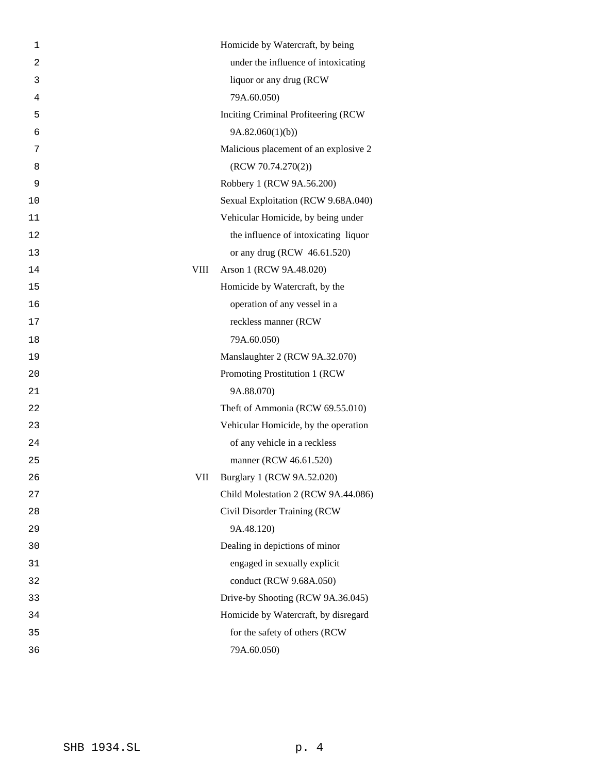| 1          | Homicide by Watercraft, by being      |
|------------|---------------------------------------|
| 2          | under the influence of intoxicating   |
| 3          | liquor or any drug (RCW               |
| 4          | 79A.60.050)                           |
| 5          | Inciting Criminal Profiteering (RCW   |
| 6          | 9A.82.060(1)(b)                       |
| 7          | Malicious placement of an explosive 2 |
| 8          | (RCW 70.74.270(2))                    |
| 9          | Robbery 1 (RCW 9A.56.200)             |
| 10         | Sexual Exploitation (RCW 9.68A.040)   |
| 11         | Vehicular Homicide, by being under    |
| 12         | the influence of intoxicating liquor  |
| 13         | or any drug (RCW 46.61.520)           |
| VIII<br>14 | Arson 1 (RCW 9A.48.020)               |
| 15         | Homicide by Watercraft, by the        |
| 16         | operation of any vessel in a          |
| 17         | reckless manner (RCW                  |
| 18         | 79A.60.050)                           |
| 19         | Manslaughter 2 (RCW 9A.32.070)        |
| 20         | Promoting Prostitution 1 (RCW)        |
| 21         | 9A.88.070)                            |
| 22         | Theft of Ammonia (RCW 69.55.010)      |
| 23         | Vehicular Homicide, by the operation  |
| 24         | of any vehicle in a reckless          |
| 25         | manner (RCW 46.61.520)                |
| VII<br>26  | Burglary 1 (RCW 9A.52.020)            |
| 27         | Child Molestation 2 (RCW 9A.44.086)   |
| 28         | Civil Disorder Training (RCW          |
| 29         | 9A.48.120)                            |
| 30         | Dealing in depictions of minor        |
| 31         | engaged in sexually explicit          |
| 32         | conduct (RCW 9.68A.050)               |
| 33         | Drive-by Shooting (RCW 9A.36.045)     |
| 34         | Homicide by Watercraft, by disregard  |
| 35         | for the safety of others (RCW         |
| 36         | 79A.60.050)                           |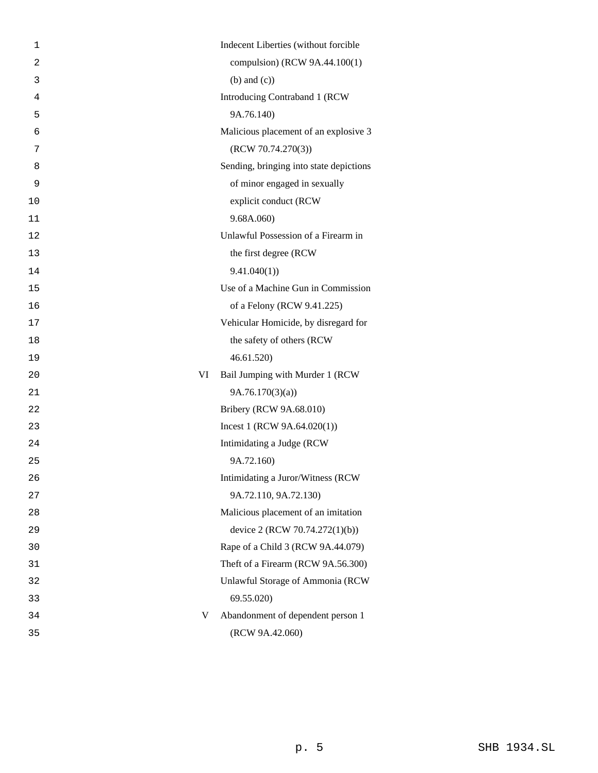| 1              |    | Indecent Liberties (without forcible    |
|----------------|----|-----------------------------------------|
| $\overline{2}$ |    | compulsion) (RCW 9A.44.100(1)           |
| 3              |    | $(b)$ and $(c)$ )                       |
| 4              |    | Introducing Contraband 1 (RCW           |
| 5              |    | 9A.76.140)                              |
| 6              |    | Malicious placement of an explosive 3   |
| 7              |    | (RCW 70.74.270(3))                      |
| 8              |    | Sending, bringing into state depictions |
| 9              |    | of minor engaged in sexually            |
| 10             |    | explicit conduct (RCW                   |
| 11             |    | 9.68A.060)                              |
| 12             |    | Unlawful Possession of a Firearm in     |
| 13             |    | the first degree (RCW                   |
| 14             |    | 9.41.040(1)                             |
| 15             |    | Use of a Machine Gun in Commission      |
| 16             |    | of a Felony (RCW 9.41.225)              |
| 17             |    | Vehicular Homicide, by disregard for    |
| 18             |    | the safety of others (RCW               |
| 19             |    | 46.61.520)                              |
| 20             | VI | Bail Jumping with Murder 1 (RCW         |
| 21             |    | 9A.76.170(3)(a)                         |
| 22             |    | Bribery (RCW 9A.68.010)                 |
| 23             |    | Incest 1 (RCW $9A.64.020(1)$ )          |
| 24             |    | Intimidating a Judge (RCW               |
| 25             |    | 9A.72.160)                              |
| 26             |    | Intimidating a Juror/Witness (RCW       |
| 27             |    | 9A.72.110, 9A.72.130)                   |
| 28             |    | Malicious placement of an imitation     |
| 29             |    | device 2 (RCW 70.74.272(1)(b))          |
| 30             |    | Rape of a Child 3 (RCW 9A.44.079)       |
| 31             |    | Theft of a Firearm (RCW 9A.56.300)      |
| 32             |    | Unlawful Storage of Ammonia (RCW        |
| 33             |    | 69.55.020)                              |
| 34             | V  | Abandonment of dependent person 1       |
| 35             |    | (RCW 9A.42.060)                         |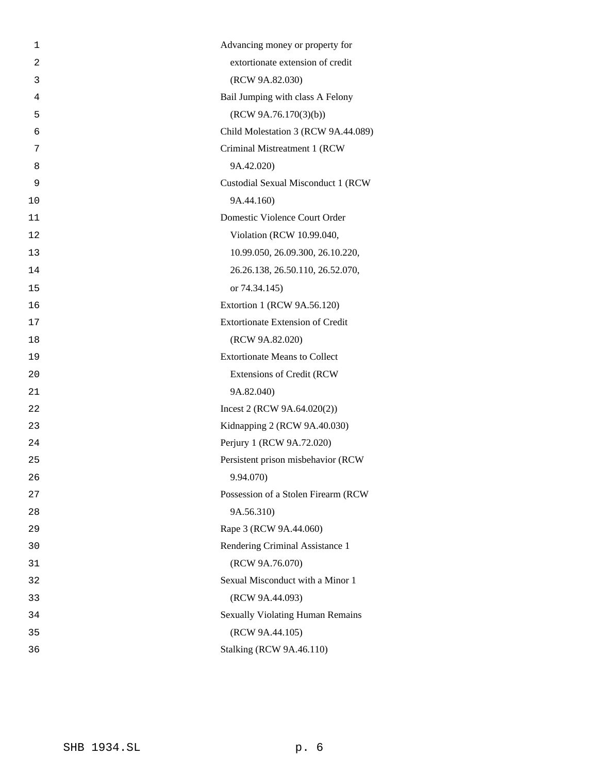| 1  | Advancing money or property for         |
|----|-----------------------------------------|
| 2  | extortionate extension of credit        |
| 3  | (RCW 9A.82.030)                         |
| 4  | Bail Jumping with class A Felony        |
| 5  | (RCW 9A.76.170(3)(b))                   |
| 6  | Child Molestation 3 (RCW 9A.44.089)     |
| 7  | Criminal Mistreatment 1 (RCW            |
| 8  | 9A.42.020)                              |
| 9  | Custodial Sexual Misconduct 1 (RCW      |
| 10 | 9A.44.160)                              |
| 11 | Domestic Violence Court Order           |
| 12 | Violation (RCW 10.99.040,               |
| 13 | 10.99.050, 26.09.300, 26.10.220,        |
| 14 | 26.26.138, 26.50.110, 26.52.070,        |
| 15 | or 74.34.145)                           |
| 16 | Extortion 1 (RCW 9A.56.120)             |
| 17 | <b>Extortionate Extension of Credit</b> |
| 18 | (RCW 9A.82.020)                         |
| 19 | <b>Extortionate Means to Collect</b>    |
| 20 | <b>Extensions of Credit (RCW)</b>       |
| 21 | 9A.82.040)                              |
| 22 | Incest 2 (RCW $9A.64.020(2)$ )          |
| 23 | Kidnapping 2 (RCW 9A.40.030)            |
| 24 | Perjury 1 (RCW 9A.72.020)               |
| 25 | Persistent prison misbehavior (RCW      |
| 26 | 9.94.070)                               |
| 27 | Possession of a Stolen Firearm (RCW     |
| 28 | 9A.56.310)                              |
| 29 | Rape 3 (RCW 9A.44.060)                  |
| 30 | Rendering Criminal Assistance 1         |
| 31 | (RCW 9A.76.070)                         |
| 32 | Sexual Misconduct with a Minor 1        |
| 33 | (RCW 9A.44.093)                         |
| 34 | <b>Sexually Violating Human Remains</b> |
| 35 | (RCW 9A.44.105)                         |
| 36 | <b>Stalking (RCW 9A.46.110)</b>         |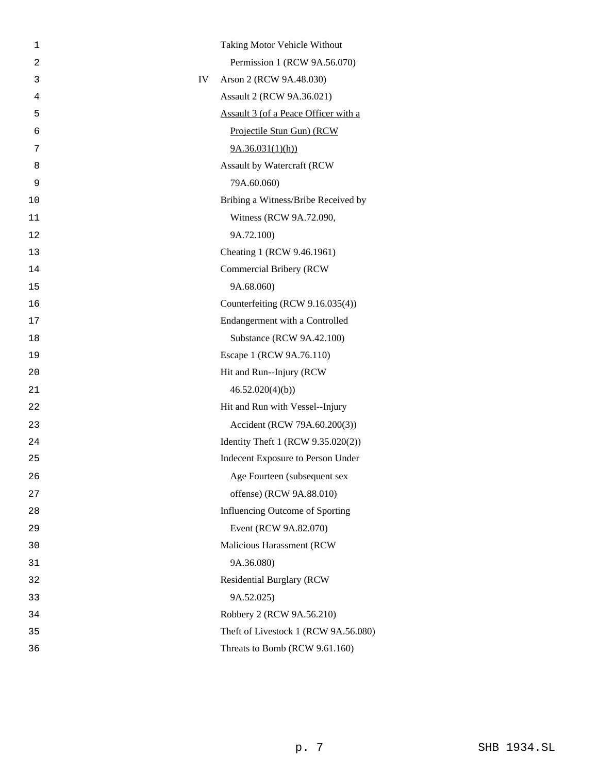| 1  | Taking Motor Vehicle Without         |
|----|--------------------------------------|
| 2  | Permission 1 (RCW 9A.56.070)         |
| 3  | Arson 2 (RCW 9A.48.030)<br>IV        |
| 4  | Assault 2 (RCW 9A.36.021)            |
| 5  | Assault 3 (of a Peace Officer with a |
| 6  | Projectile Stun Gun) (RCW            |
| 7  | 9A.36.031(1)(h)                      |
| 8  | Assault by Watercraft (RCW           |
| 9  | 79A.60.060)                          |
| 10 | Bribing a Witness/Bribe Received by  |
| 11 | Witness (RCW 9A.72.090,              |
| 12 | 9A.72.100)                           |
| 13 | Cheating 1 (RCW 9.46.1961)           |
| 14 | Commercial Bribery (RCW              |
| 15 | 9A.68.060)                           |
| 16 | Counterfeiting (RCW 9.16.035(4))     |
| 17 | Endangerment with a Controlled       |
| 18 | Substance (RCW 9A.42.100)            |
| 19 | Escape 1 (RCW 9A.76.110)             |
| 20 | Hit and Run--Injury (RCW             |
| 21 | 46.52.020(4)(b)                      |
| 22 | Hit and Run with Vessel--Injury      |
| 23 | Accident (RCW 79A.60.200(3))         |
| 24 | Identity Theft 1 (RCW 9.35.020(2))   |
| 25 | Indecent Exposure to Person Under    |
| 26 | Age Fourteen (subsequent sex         |
| 27 | offense) (RCW 9A.88.010)             |
| 28 | Influencing Outcome of Sporting      |
| 29 | Event (RCW 9A.82.070)                |
| 30 | Malicious Harassment (RCW            |
| 31 | 9A.36.080)                           |
| 32 | <b>Residential Burglary (RCW</b>     |
| 33 | 9A.52.025)                           |
| 34 | Robbery 2 (RCW 9A.56.210)            |
| 35 | Theft of Livestock 1 (RCW 9A.56.080) |
| 36 | Threats to Bomb (RCW 9.61.160)       |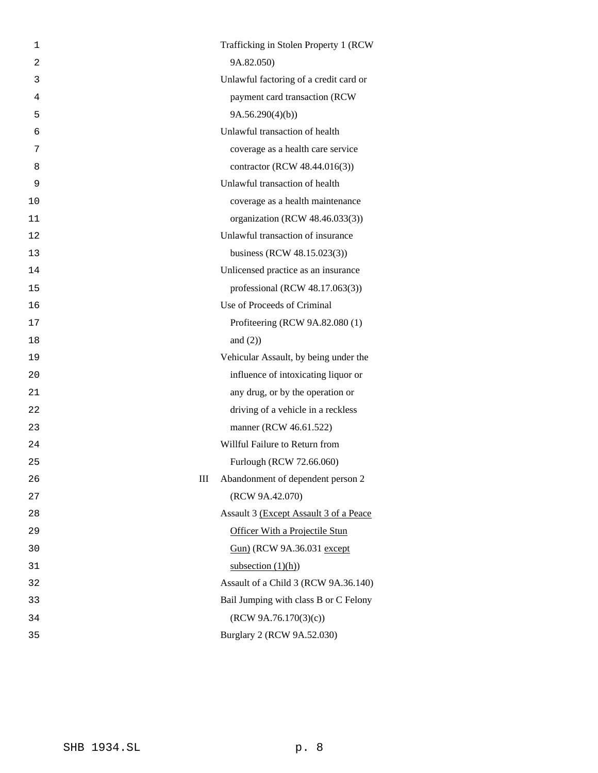| 1  |   | Trafficking in Stolen Property 1 (RCW  |
|----|---|----------------------------------------|
| 2  |   | 9A.82.050)                             |
| 3  |   | Unlawful factoring of a credit card or |
| 4  |   | payment card transaction (RCW          |
| 5  |   | 9A.56.290(4)(b)                        |
| 6  |   | Unlawful transaction of health         |
| 7  |   | coverage as a health care service      |
| 8  |   | contractor (RCW 48.44.016(3))          |
| 9  |   | Unlawful transaction of health         |
| 10 |   | coverage as a health maintenance       |
| 11 |   | organization (RCW 48.46.033(3))        |
| 12 |   | Unlawful transaction of insurance      |
| 13 |   | business (RCW 48.15.023(3))            |
| 14 |   | Unlicensed practice as an insurance    |
| 15 |   | professional (RCW 48.17.063(3))        |
| 16 |   | Use of Proceeds of Criminal            |
| 17 |   | Profiteering (RCW 9A.82.080 (1)        |
| 18 |   | and $(2)$ )                            |
| 19 |   | Vehicular Assault, by being under the  |
| 20 |   | influence of intoxicating liquor or    |
| 21 |   | any drug, or by the operation or       |
| 22 |   | driving of a vehicle in a reckless     |
| 23 |   | manner (RCW 46.61.522)                 |
| 24 |   | Willful Failure to Return from         |
| 25 |   | Furlough (RCW 72.66.060)               |
| 26 | Ш | Abandonment of dependent person 2      |
| 27 |   | (RCW 9A.42.070)                        |
| 28 |   | Assault 3 (Except Assault 3 of a Peace |
| 29 |   | Officer With a Projectile Stun         |
| 30 |   | Gun) (RCW 9A.36.031 except             |
| 31 |   | subsection $(1)(h)$                    |
| 32 |   | Assault of a Child 3 (RCW 9A.36.140)   |
| 33 |   | Bail Jumping with class B or C Felony  |
| 34 |   | (RCW 9A.76.170(3)(c))                  |
| 35 |   | Burglary 2 (RCW 9A.52.030)             |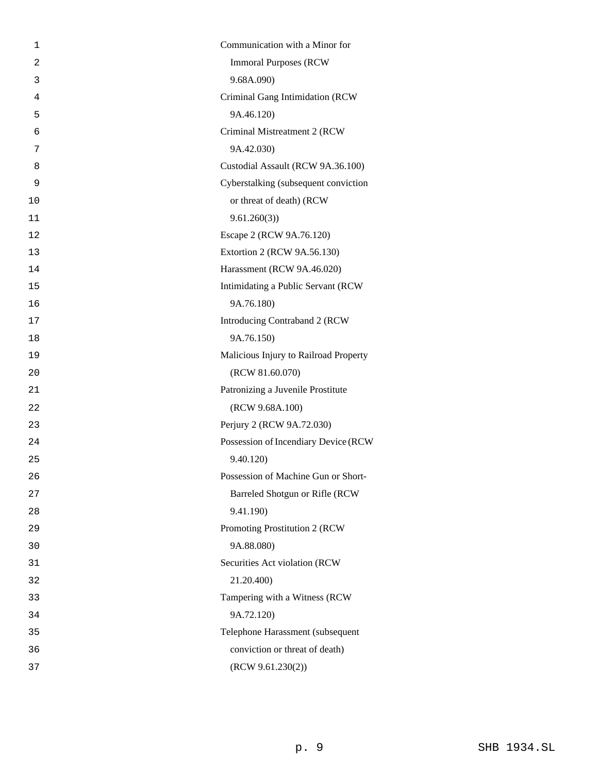| 1  | Communication with a Minor for        |
|----|---------------------------------------|
| 2  | <b>Immoral Purposes (RCW)</b>         |
| 3  | 9.68A.090)                            |
| 4  | Criminal Gang Intimidation (RCW       |
| 5  | 9A.46.120)                            |
| 6  | Criminal Mistreatment 2 (RCW          |
| 7  | 9A.42.030)                            |
| 8  | Custodial Assault (RCW 9A.36.100)     |
| 9  | Cyberstalking (subsequent conviction  |
| 10 | or threat of death) (RCW              |
| 11 | 9.61.260(3)                           |
| 12 | Escape 2 (RCW 9A.76.120)              |
| 13 | Extortion 2 (RCW 9A.56.130)           |
| 14 | Harassment (RCW 9A.46.020)            |
| 15 | Intimidating a Public Servant (RCW    |
| 16 | 9A.76.180)                            |
| 17 | Introducing Contraband 2 (RCW         |
| 18 | 9A.76.150)                            |
| 19 | Malicious Injury to Railroad Property |
| 20 | (RCW 81.60.070)                       |
| 21 | Patronizing a Juvenile Prostitute     |
| 22 | (RCW 9.68A.100)                       |
| 23 | Perjury 2 (RCW 9A.72.030)             |
| 24 | Possession of Incendiary Device (RCW  |
| 25 | 9.40.120)                             |
| 26 | Possession of Machine Gun or Short-   |
| 27 | Barreled Shotgun or Rifle (RCW        |
| 28 | 9.41.190)                             |
| 29 | Promoting Prostitution 2 (RCW         |
| 30 | 9A.88.080)                            |
| 31 | Securities Act violation (RCW         |
| 32 | 21.20.400)                            |
| 33 | Tampering with a Witness (RCW         |
| 34 | 9A.72.120)                            |
| 35 | Telephone Harassment (subsequent      |
| 36 | conviction or threat of death)        |
| 37 | (RCW 9.61.230(2))                     |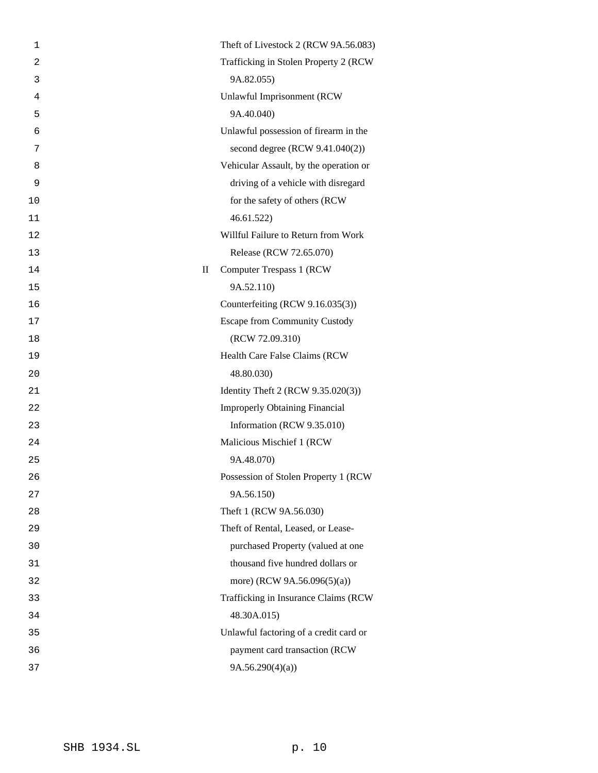| 1              |              | Theft of Livestock 2 (RCW 9A.56.083)   |
|----------------|--------------|----------------------------------------|
| $\overline{a}$ |              | Trafficking in Stolen Property 2 (RCW) |
| 3              |              | 9A.82.055)                             |
| 4              |              | Unlawful Imprisonment (RCW             |
| 5              |              | 9A.40.040)                             |
| 6              |              | Unlawful possession of firearm in the  |
| 7              |              | second degree (RCW 9.41.040(2))        |
| 8              |              | Vehicular Assault, by the operation or |
| 9              |              | driving of a vehicle with disregard    |
| 10             |              | for the safety of others (RCW          |
| 11             |              | 46.61.522                              |
| 12             |              | Willful Failure to Return from Work    |
| 13             |              | Release (RCW 72.65.070)                |
| 14             | $\mathbf{I}$ | Computer Trespass 1 (RCW)              |
| 15             |              | 9A.52.110)                             |
| 16             |              | Counterfeiting (RCW 9.16.035(3))       |
| 17             |              | <b>Escape from Community Custody</b>   |
| 18             |              | (RCW 72.09.310)                        |
| 19             |              | Health Care False Claims (RCW          |
| 20             |              | 48.80.030)                             |
| 21             |              | Identity Theft 2 (RCW 9.35.020(3))     |
| 22             |              | <b>Improperly Obtaining Financial</b>  |
| 23             |              | Information (RCW 9.35.010)             |
| 24             |              | Malicious Mischief 1 (RCW              |
| 25             |              | 9A.48.070)                             |
| 26             |              | Possession of Stolen Property 1 (RCW   |
| 27             |              | 9A.56.150)                             |
| 28             |              | Theft 1 (RCW 9A.56.030)                |
| 29             |              | Theft of Rental, Leased, or Lease-     |
| 30             |              | purchased Property (valued at one      |
| 31             |              | thousand five hundred dollars or       |
| 32             |              | more) (RCW 9A.56.096(5)(a))            |
| 33             |              | Trafficking in Insurance Claims (RCW   |
| 34             |              | 48.30A.015)                            |
| 35             |              | Unlawful factoring of a credit card or |
| 36             |              | payment card transaction (RCW          |
| 37             |              | 9A.56.290(4)(a)                        |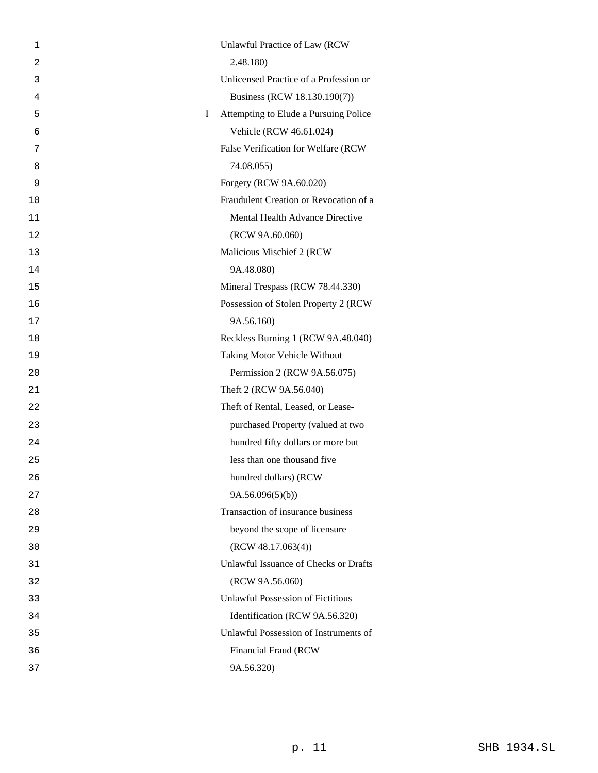| 1              |    | Unlawful Practice of Law (RCW            |
|----------------|----|------------------------------------------|
| $\overline{2}$ |    | 2.48.180)                                |
| 3              |    | Unlicensed Practice of a Profession or   |
| 4              |    | Business (RCW 18.130.190(7))             |
| 5              | Ι. | Attempting to Elude a Pursuing Police    |
| 6              |    | Vehicle (RCW 46.61.024)                  |
| 7              |    | False Verification for Welfare (RCW      |
| 8              |    | 74.08.055)                               |
| 9              |    | Forgery (RCW 9A.60.020)                  |
| 10             |    | Fraudulent Creation or Revocation of a   |
| 11             |    | Mental Health Advance Directive          |
| 12             |    | (RCW 9A.60.060)                          |
| 13             |    | Malicious Mischief 2 (RCW                |
| 14             |    | 9A.48.080)                               |
| 15             |    | Mineral Trespass (RCW 78.44.330)         |
| 16             |    | Possession of Stolen Property 2 (RCW     |
| 17             |    | 9A.56.160)                               |
| 18             |    | Reckless Burning 1 (RCW 9A.48.040)       |
| 19             |    | Taking Motor Vehicle Without             |
| 20             |    | Permission 2 (RCW 9A.56.075)             |
| 21             |    | Theft 2 (RCW 9A.56.040)                  |
| 22             |    | Theft of Rental, Leased, or Lease-       |
| 23             |    | purchased Property (valued at two        |
| 24             |    | hundred fifty dollars or more but        |
| 25             |    | less than one thousand five              |
| 26             |    | hundred dollars) (RCW                    |
| 27             |    | 9A.56.096(5)(b)                          |
| 28             |    | Transaction of insurance business        |
| 29             |    | beyond the scope of licensure            |
| 30             |    | (RCW 48.17.063(4))                       |
| 31             |    | Unlawful Issuance of Checks or Drafts    |
| 32             |    | (RCW 9A.56.060)                          |
| 33             |    | <b>Unlawful Possession of Fictitious</b> |
| 34             |    | Identification (RCW 9A.56.320)           |
| 35             |    | Unlawful Possession of Instruments of    |
| 36             |    | Financial Fraud (RCW                     |
| 37             |    | 9A.56.320)                               |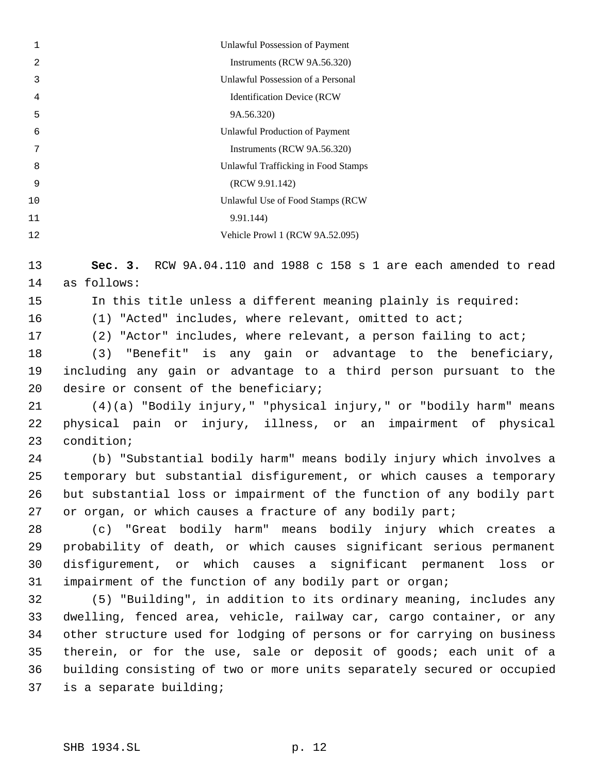| 1  | Unlawful Possession of Payment      |
|----|-------------------------------------|
| 2  | Instruments (RCW 9A.56.320)         |
| 3  | Unlawful Possession of a Personal   |
| 4  | <b>Identification Device (RCW)</b>  |
| 5  | 9A.56.320)                          |
| 6  | Unlawful Production of Payment      |
| 7  | Instruments (RCW 9A.56.320)         |
| 8  | Unlawful Trafficking in Food Stamps |
| 9  | (RCW 9.91.142)                      |
| 10 | Unlawful Use of Food Stamps (RCW)   |
| 11 | 9.91.144)                           |
| 12 | Vehicle Prowl 1 (RCW 9A.52.095)     |
|    |                                     |

 **Sec. 3.** RCW 9A.04.110 and 1988 c 158 s 1 are each amended to read as follows:

In this title unless a different meaning plainly is required:

(1) "Acted" includes, where relevant, omitted to act;

(2) "Actor" includes, where relevant, a person failing to act;

 (3) "Benefit" is any gain or advantage to the beneficiary, including any gain or advantage to a third person pursuant to the desire or consent of the beneficiary;

 (4)(a) "Bodily injury," "physical injury," or "bodily harm" means physical pain or injury, illness, or an impairment of physical condition;

 (b) "Substantial bodily harm" means bodily injury which involves a temporary but substantial disfigurement, or which causes a temporary but substantial loss or impairment of the function of any bodily part or organ, or which causes a fracture of any bodily part;

 (c) "Great bodily harm" means bodily injury which creates a probability of death, or which causes significant serious permanent disfigurement, or which causes a significant permanent loss or impairment of the function of any bodily part or organ;

 (5) "Building", in addition to its ordinary meaning, includes any dwelling, fenced area, vehicle, railway car, cargo container, or any other structure used for lodging of persons or for carrying on business therein, or for the use, sale or deposit of goods; each unit of a building consisting of two or more units separately secured or occupied is a separate building;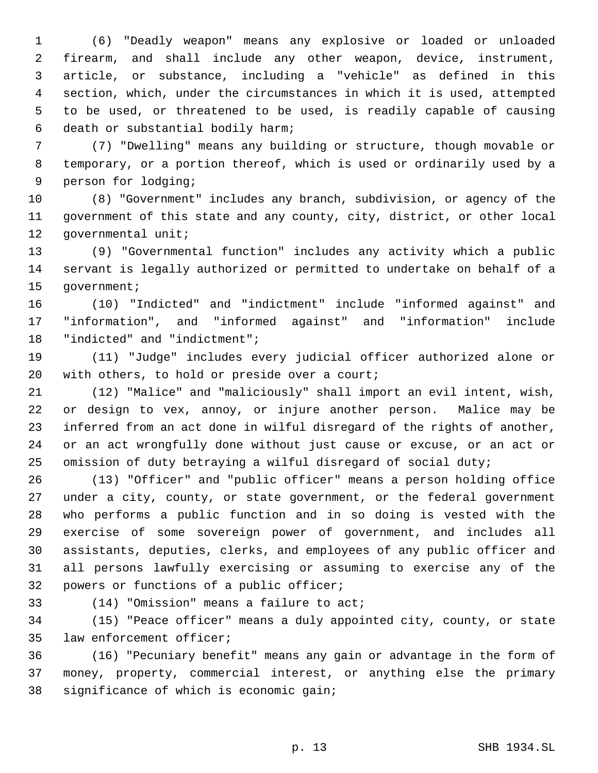(6) "Deadly weapon" means any explosive or loaded or unloaded firearm, and shall include any other weapon, device, instrument, article, or substance, including a "vehicle" as defined in this section, which, under the circumstances in which it is used, attempted to be used, or threatened to be used, is readily capable of causing death or substantial bodily harm;

 (7) "Dwelling" means any building or structure, though movable or temporary, or a portion thereof, which is used or ordinarily used by a person for lodging;

 (8) "Government" includes any branch, subdivision, or agency of the government of this state and any county, city, district, or other local governmental unit;

 (9) "Governmental function" includes any activity which a public servant is legally authorized or permitted to undertake on behalf of a government;

 (10) "Indicted" and "indictment" include "informed against" and "information", and "informed against" and "information" include "indicted" and "indictment";

 (11) "Judge" includes every judicial officer authorized alone or with others, to hold or preside over a court;

 (12) "Malice" and "maliciously" shall import an evil intent, wish, or design to vex, annoy, or injure another person. Malice may be inferred from an act done in wilful disregard of the rights of another, or an act wrongfully done without just cause or excuse, or an act or omission of duty betraying a wilful disregard of social duty;

 (13) "Officer" and "public officer" means a person holding office under a city, county, or state government, or the federal government who performs a public function and in so doing is vested with the exercise of some sovereign power of government, and includes all assistants, deputies, clerks, and employees of any public officer and all persons lawfully exercising or assuming to exercise any of the powers or functions of a public officer;

(14) "Omission" means a failure to act;

 (15) "Peace officer" means a duly appointed city, county, or state law enforcement officer;

 (16) "Pecuniary benefit" means any gain or advantage in the form of money, property, commercial interest, or anything else the primary significance of which is economic gain;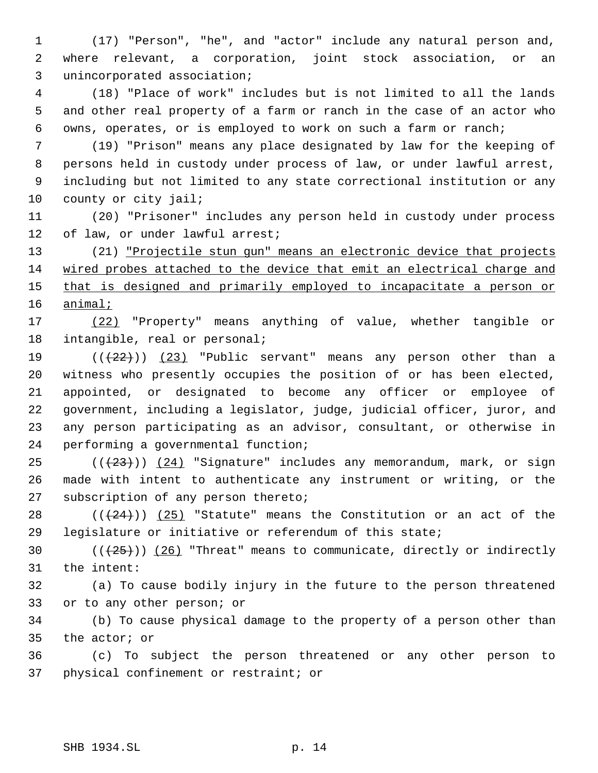(17) "Person", "he", and "actor" include any natural person and, where relevant, a corporation, joint stock association, or an unincorporated association;

 (18) "Place of work" includes but is not limited to all the lands and other real property of a farm or ranch in the case of an actor who owns, operates, or is employed to work on such a farm or ranch;

 (19) "Prison" means any place designated by law for the keeping of persons held in custody under process of law, or under lawful arrest, including but not limited to any state correctional institution or any 10 county or city jail;

 (20) "Prisoner" includes any person held in custody under process of law, or under lawful arrest;

 (21) "Projectile stun gun" means an electronic device that projects wired probes attached to the device that emit an electrical charge and 15 that is designed and primarily employed to incapacitate a person or animal;

 (22) "Property" means anything of value, whether tangible or intangible, real or personal;

 $((+22))$   $(23)$  "Public servant" means any person other than a witness who presently occupies the position of or has been elected, appointed, or designated to become any officer or employee of government, including a legislator, judge, judicial officer, juror, and any person participating as an advisor, consultant, or otherwise in performing a governmental function;

 (( $(23)$ )) (24) "Signature" includes any memorandum, mark, or sign made with intent to authenticate any instrument or writing, or the subscription of any person thereto;

28  $((+24))$   $(25)$  "Statute" means the Constitution or an act of the legislature or initiative or referendum of this state;

30  $((+25))$   $(26)$  "Threat" means to communicate, directly or indirectly the intent:

 (a) To cause bodily injury in the future to the person threatened or to any other person; or

 (b) To cause physical damage to the property of a person other than the actor; or

 (c) To subject the person threatened or any other person to physical confinement or restraint; or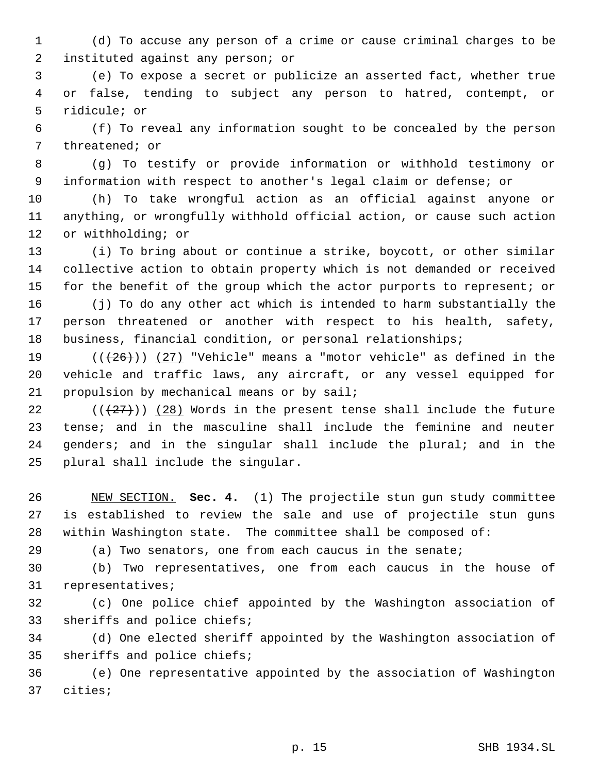(d) To accuse any person of a crime or cause criminal charges to be instituted against any person; or

 (e) To expose a secret or publicize an asserted fact, whether true or false, tending to subject any person to hatred, contempt, or ridicule; or

 (f) To reveal any information sought to be concealed by the person threatened; or

 (g) To testify or provide information or withhold testimony or information with respect to another's legal claim or defense; or

 (h) To take wrongful action as an official against anyone or anything, or wrongfully withhold official action, or cause such action or withholding; or

 (i) To bring about or continue a strike, boycott, or other similar collective action to obtain property which is not demanded or received for the benefit of the group which the actor purports to represent; or

 (j) To do any other act which is intended to harm substantially the person threatened or another with respect to his health, safety, business, financial condition, or personal relationships;

19  $((+26))$   $(27)$  "Vehicle" means a "motor vehicle" as defined in the vehicle and traffic laws, any aircraft, or any vessel equipped for propulsion by mechanical means or by sail;

 $((+27))$   $(28)$  Words in the present tense shall include the future tense; and in the masculine shall include the feminine and neuter genders; and in the singular shall include the plural; and in the plural shall include the singular.

 NEW SECTION. **Sec. 4.** (1) The projectile stun gun study committee is established to review the sale and use of projectile stun guns within Washington state. The committee shall be composed of:

(a) Two senators, one from each caucus in the senate;

 (b) Two representatives, one from each caucus in the house of representatives;

 (c) One police chief appointed by the Washington association of sheriffs and police chiefs;

 (d) One elected sheriff appointed by the Washington association of sheriffs and police chiefs;

 (e) One representative appointed by the association of Washington cities;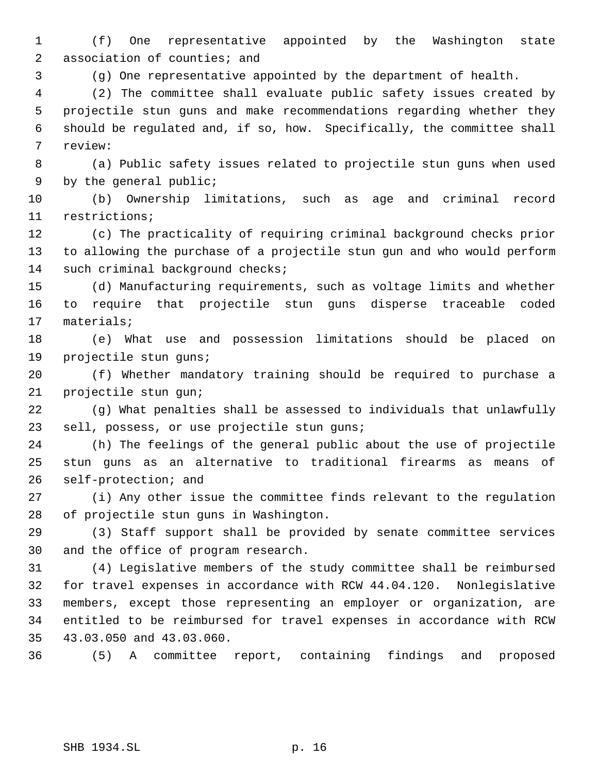(f) One representative appointed by the Washington state 2 association of counties; and

(g) One representative appointed by the department of health.

 (2) The committee shall evaluate public safety issues created by projectile stun guns and make recommendations regarding whether they should be regulated and, if so, how. Specifically, the committee shall review:

 (a) Public safety issues related to projectile stun guns when used by the general public;

 (b) Ownership limitations, such as age and criminal record restrictions;

 (c) The practicality of requiring criminal background checks prior to allowing the purchase of a projectile stun gun and who would perform 14 such criminal background checks;

 (d) Manufacturing requirements, such as voltage limits and whether to require that projectile stun guns disperse traceable coded materials;

 (e) What use and possession limitations should be placed on projectile stun guns;

 (f) Whether mandatory training should be required to purchase a projectile stun gun;

 (g) What penalties shall be assessed to individuals that unlawfully sell, possess, or use projectile stun guns;

 (h) The feelings of the general public about the use of projectile stun guns as an alternative to traditional firearms as means of self-protection; and

 (i) Any other issue the committee finds relevant to the regulation of projectile stun guns in Washington.

 (3) Staff support shall be provided by senate committee services and the office of program research.

 (4) Legislative members of the study committee shall be reimbursed for travel expenses in accordance with RCW 44.04.120. Nonlegislative members, except those representing an employer or organization, are entitled to be reimbursed for travel expenses in accordance with RCW 43.03.050 and 43.03.060.

(5) A committee report, containing findings and proposed